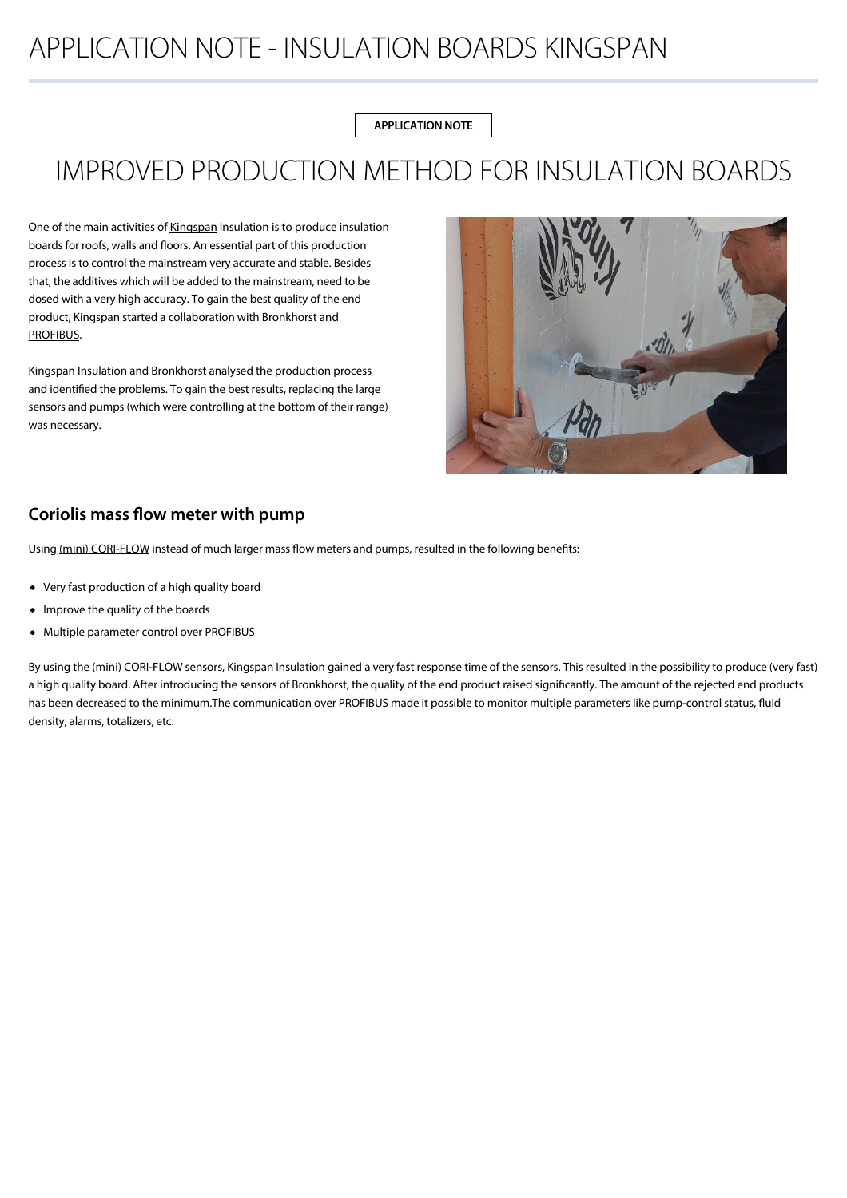## APPLICATION NOTE - INSULATION BOARDS KINGSPAN

**APPLICATION NOTE**

# IMPROVED PRODUCTION METHOD FOR INSULATION BOARDS

One of the main activities of [Kingspan](https://www.kingspan.com) Insulation is to produce insulation boards for roofs, walls and floors. An essential part of this production process is to control the mainstream very accurate and stable. Besides that, the additives which will be added to the mainstream, need to be dosed with a very high accuracy. To gain the best quality of the end product, Kingspan started a collaboration with Bronkhorst and [PROFIBUS.](https://bronkhorst.com/en-us/products/accessories-and-software/flowware/)

Kingspan Insulation and Bronkhorst analysed the production process and identified the problems. To gain the best results, replacing the large sensors and pumps (which were controlling at the bottom of their range) was necessary.



## **Coriolis mass flow meter with pump**

Using [\(mini\) CORI-FLOW](https://bronkhorst.com/en-us/products/gas-flow/mini-cori-flow/) instead of much larger mass flow meters and pumps, resulted in the following benefits:

- Very fast production of a high quality board
- Improve the quality of the boards
- Multiple parameter control over PROFIBUS

By using the [\(mini\) CORI-FLOW](https://bronkhorst.com/en-us/products/gas-flow/mini-cori-flow/) sensors, Kingspan Insulation gained a very fast response time of the sensors. This resulted in the possibility to produce (very fast) a high quality board. After introducing the sensors of Bronkhorst, the quality of the end product raised significantly. The amount of the rejected end products has been decreased to the minimum.The communication over PROFIBUS made it possible to monitor multiple parameters like pump-control status, fluid density, alarms, totalizers, etc.